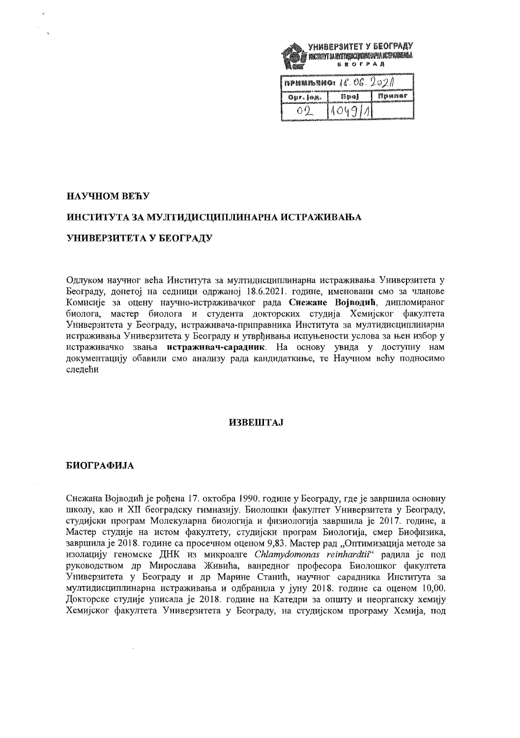

| <b>nPHERMENO:</b> $\{8, 06, 202\}$ |      |        |
|------------------------------------|------|--------|
| Opr. Ion.                          | Broi | 欝经极维命矿 |
|                                    |      |        |

## НАУЧНОМ ВЕЋУ

# ИНСТИТУТА ЗА МУЛТИДИСЦИПЛИНАРНА ИСТРАЖИВАЊА

## УНИВЕРЗИТЕТА У БЕОГРАДУ

Одлуком научног већа Института за мултидисциплинарна истраживања Универзитета у Београду, донетој на седници одржаној 18.6.2021. године, именовани смо за чланове Комисије за оцену научно-истраживачког рада Снежане Војводић, дипломираног биолога, мастер биолога и студента докторских студија Хемијског факултета Универзитета у Београду, истраживача-приправника Института за мултидисциплинарна истраживања Универзитета у Београду и утврђивања испуњености услова за њен избор у истраживачко звања истраживач-сарадник. На основу увида у доступну нам документацију обавили смо анализу рада кандидаткиње, те Научном већу подносимо следећи

#### **ИЗВЕШТАЈ**

#### БИОГРАФИЈА

Снежана Војводић је рођена 17. октобра 1990. године у Београду, где је завршила основну школу, као и XII београдску гимназију. Биолошки факултет Универзитета у Београду, студијски програм Молекуларна биологија и физиологија завршила је 2017. године, а Мастер студије на истом факултету, студијски програм Биологија, смер Биофизика, завршила је 2018. године са просечном оценом 9,83. Мастер рад "Оптимизација методе за изолацију геномске ДНК из микроалге Chlamydomonas reinhardtii" радила је под руководством др Мирослава Живића, ванредног професора Биолошког факултета<br>Универзитета у Београду и др Марине Станић, научног сарадника Института за мултидисциплинарна истраживања и одбранила у јуну 2018. године са оценом 10,00. Докторске студије уписала је 2018. године на Катедри за општу и неорганску хемију Хемијског факултета Универзитета у Београду, на студијском програму Хемија, под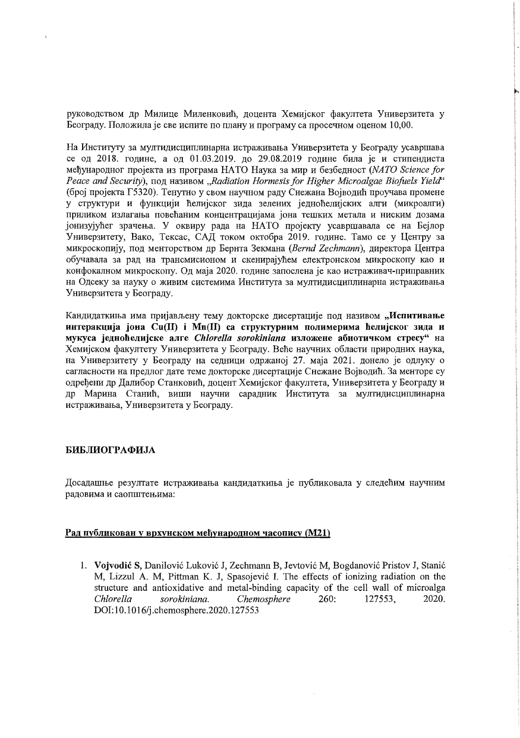руководством др Милице Миленковић, доцента Хемијског факултета Универзитета у Београду. Положила је све испите по плану и програму са просечном оценом 10,00.

На Институту за мултидисциплинарна истраживања Универзитета у Београду усавршава се од 2018. године, а од 01.03.2019. до 29.08.2019 године била је и стипендиста мећународног пројекта из програма НАТО Наука за мир и безбедност (NATO Science for Peace and Security),  $\pi$ on  $\pi$  називом "Radiation Hormesis for Higher Microalgae Biofuels Yield" (број пројекта Г5320). Тенутно у свом научном раду Снежана Војводић проучава промене у структури и функцији ћелијског зида зелених једноћелијских алги (микроалги) приликом излагања повећаним концентрацијама јона тешких метала и ниским дозама јонизујућег зрачења. У оквиру рада на НАТО пројекту усавршавала се на Бејлор Универзитету, Вако, Тексас, САД током октобра 2019. године. Тамо се у Центру за микроскопију, под менторством др Бернта Зекмана (Bernd Zechmann), директора Центра обучавала за рад на трансмисионом и скенирајућем електронском микроскопу као и конфокалном микроскопу. Од маја 2020. године запослена је као истраживач-приправник на Одсеку за науку о живим системима Института за мултидисциплинарна истраживања Универзитета у Београду.

Кандидаткиња има пријављену тему докторске дисертације под називом "Испитивање интеракција јона Cu(II) і Mn(II) са структурним полимерима ћелијског зида и мукуса једноћелијске алге Chlorella sorokiniana изложене абиотичком стресу" на Хемијском факултету Универзитета у Београду. Веће научних области природних наука, на Универзитету у Београду на седници одржаној 27. маја 2021. донело је одлуку о сагласности на предлог дате теме докторске дисертације Снежане Војводић. За менторе су одређени др Далибор Станковић, доцент Хемијског факултета, Универзитета у Београду и др Марина Станић, виши научни сарадник Института за мултидисциплинарна истраживања, Универзитета у Београду.

## БИБЛИОГРАФИЈА

 $\overline{a}$ 

Досадашње резултате истраживања кандидаткиња је публиковала у следећим научним радовима и саопштењима:

# Рад публикован у врхунском међународном часопису (М21)

1. Vojvodić S, Danilović Luković J, Zechmann B, Jevtović M, Bogdanović Pristov J, Stanić M, Lizzul A. M, Pittman K. J, Spasojević I. The effects of ionizing radiation on the structure and antioxidative and metal-binding capacity of the cell wall of microalga Chlorella sorokiniana. Chemosphere  $260:$ 2020. 127553. DOI:10.1016/j.chemosphere.2020.127553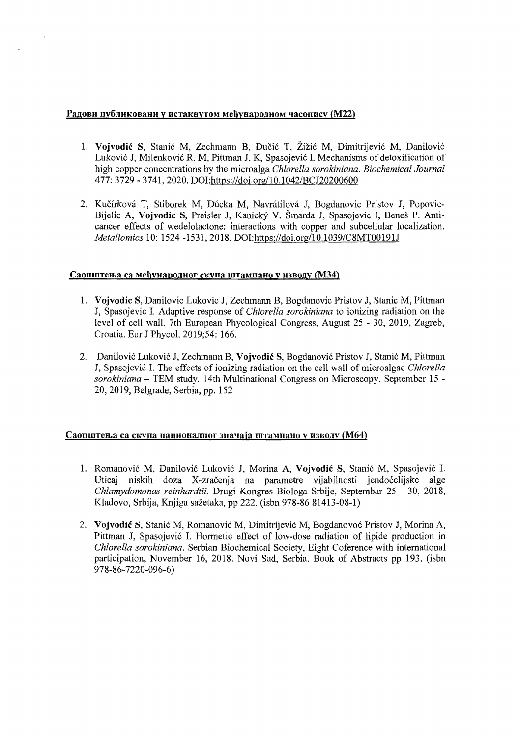# Радови публиковани у истакнутом међународном часопису (М22)

- 1. **Vojvodic** S, Stanic M, Zechmann B, DuCic T, Zizic M, Dimitrijevic M, Danilovic Lukovic J, Milenkovic R. M, Pittman J. K, Spasojevic L Mechanisms of detoxification of high copper concentrations by the microalga *Chiarella sorokiniana. Biochemical Journal*  477: 3729 - 3741, 2020. *DOI:https:lldoi.orgl10.l042/BCJ20200600*
- 2. Kučírková T, Stiborek M, Dúcka M, Navrátilová J, Bogdanovic Pristov J, Popovic-Bijelic A, **Vojvodic** S, Preisler **J,** Kanicky V, Smarda **J,** Spasojevic I, Benes P. Anticancer effects of wedelolactone: interactions with copper and subcellular localization. *Metallomics* 10: 1524 -1531, 2018. *DOI:https://doi.org/10.1039/C8MT00191J*

# Саопштења са међународног скупа штампано у изводу (М34)

- 1. **Vojvodic S, Danilovic Lukovic J, Zechmann B, Bogdanovic Pristov J, Stanic M, Pittman** J, Spasojevic L Adaptive response of *Chiorella sorokiniana* to ionizing radiation on the level of cell wall. 7th European Phycological Congress, August 25 - 30, 2019, Zagreb, Croatia. Eur J Phycol. 2019;54: 166.
- 2. Danilovic Lukovic **J,** Zechmann B, **Vojvodic S,** Bogdanovic Pristov **J,** Stanic M, Pittman **J,** Spasojevic L The effects of ionizing radiation on the cell wall of microalgae *Chlorella sorokiniana* - TEM study. 14th Multinational Congress on Microscopy. September 15 20,2019, Belgrade, Serbia, pp. 152

# Саопштења са скупа националног значаја штампано у изводу (М64)

- 1. Romanovic M, Danilovic Lukovic J, Morina A, **Vojvodic** S, Stanic M, Spasojevic 1. Uticaj niskih doza X-zracenja na parametre vijabilnosti jendocelijske alge *Chlamydomonas reinhardtii.* Drugi Kongres Biologa Srbije, Septembar 25 - 30, 2018, Kladovo, Srbija, Knjiga sažetaka, pp 222. (isbn 978-86 81413-08-1)
- 2. **Vojvodic** S, Stanic M, Romanovic M, Dimitrijevic M, Bogdanovoc Pristov J, Morina A, Pittman **J,** Spasojevic L Hormetic effect of low-dose radiation of lipide production in *Chlorella sorokiniana.* Serbian Biochemical Society, Eight Coference with international participation, November 16, 2018. Novi Sad, Serbia. Book of Abstracts pp 193. (isbn 978-86-7220-096-6)